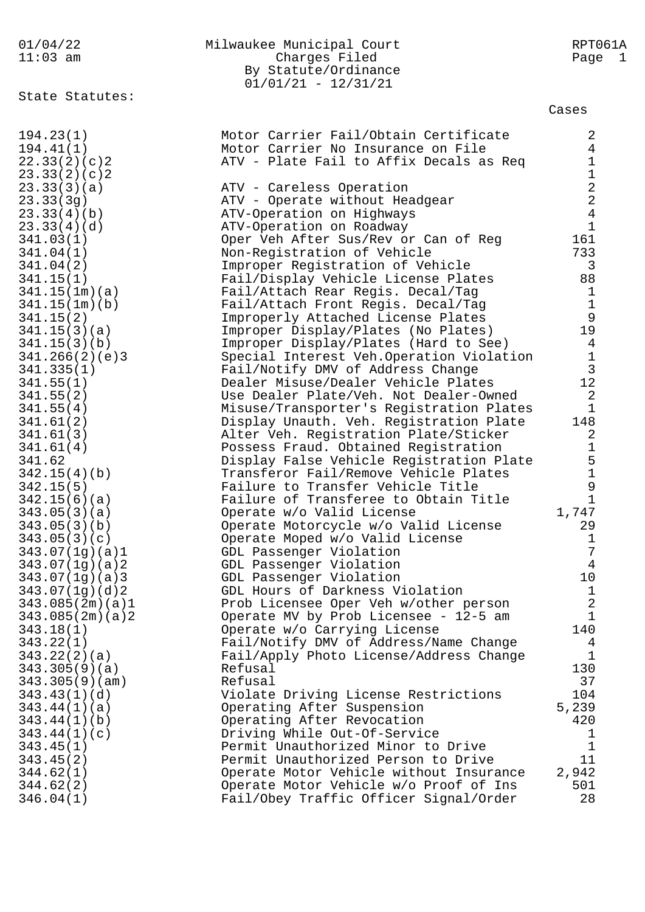## 01/04/22 Milwaukee Municipal Court RPT061A 11:03 am Charges Filed Page 1 By Statute/Ordinance 01/01/21 - 12/31/21

State Statutes:

Cases

| 194.23(1)       | Motor Carrier Fail/Obtain Certificate    | 2                                          |
|-----------------|------------------------------------------|--------------------------------------------|
| 194.41(1)       | Motor Carrier No Insurance on File       | $\overline{4}$                             |
| 22.33(2)(c)2    | ATV - Plate Fail to Affix Decals as Req  | $\mathbf{1}$                               |
| 23.33(2)(c)2    |                                          | $\mathbf 1$                                |
| 23.33(3)(a)     | ATV - Careless Operation                 |                                            |
| 23.33(3g)       | ATV - Operate without Headgear           | $\begin{array}{c} 2 \\ 2 \\ 4 \end{array}$ |
| 23.33(4)(b)     | ATV-Operation on Highways                |                                            |
| 23.33(4)(d)     | ATV-Operation on Roadway                 | $\mathbf{1}$                               |
| 341.03(1)       | Oper Veh After Sus/Rev or Can of Reg     | 161                                        |
| 341.04(1)       | Non-Registration of Vehicle              | 733                                        |
| 341.04(2)       | Improper Registration of Vehicle         | $\mathsf{3}$                               |
| 341.15(1)       | Fail/Display Vehicle License Plates      | 88                                         |
|                 |                                          |                                            |
| 341.15(1m)(a)   | Fail/Attach Rear Regis. Decal/Tag        | $\mathbf{1}$                               |
| 341.15(1m)(b)   | Fail/Attach Front Regis. Decal/Tag       | $\mathbf{1}$                               |
| 341.15(2)       | Improperly Attached License Plates       | 9                                          |
| 341.15(3)(a)    | Improper Display/Plates (No Plates)      | 19                                         |
| 341.15(3)(b)    | Improper Display/Plates (Hard to See)    | $\overline{4}$                             |
| 341.266(2)(e)3  | Special Interest Veh.Operation Violation | $\mathbf{1}$                               |
| 341.335(1)      | Fail/Notify DMV of Address Change        | $\mathbf{3}$                               |
| 341.55(1)       | Dealer Misuse/Dealer Vehicle Plates      | 12                                         |
| 341.55(2)       | Use Dealer Plate/Veh. Not Dealer-Owned   | 2                                          |
| 341.55(4)       | Misuse/Transporter's Registration Plates | $\mathbf{1}$                               |
| 341.61(2)       | Display Unauth. Veh. Registration Plate  | 148                                        |
| 341.61(3)       | Alter Veh. Registration Plate/Sticker    | 2                                          |
| 341.61(4)       | Possess Fraud. Obtained Registration     | $\mathbf{1}$                               |
| 341.62          | Display False Vehicle Registration Plate | $\begin{array}{c} 5 \\ 1 \end{array}$      |
| 342.15(4)(b)    | Transferor Fail/Remove Vehicle Plates    |                                            |
| 342.15(5)       | Failure to Transfer Vehicle Title        | $\mathsf 9$                                |
| 342.15(6)(a)    | Failure of Transferee to Obtain Title    | $\mathbf{1}$                               |
| 343.05(3)(a)    | Operate w/o Valid License                | 1,747                                      |
| 343.05(3)(b)    | Operate Motorcycle w/o Valid License     | 29                                         |
| 343.05(3)(c)    | Operate Moped w/o Valid License          | 1                                          |
| 343.07(1g)(a)1  | GDL Passenger Violation                  | 7                                          |
| 343.07(1g)(a)2  | GDL Passenger Violation                  | $\overline{4}$                             |
| 343.07(1g)(a)3  | GDL Passenger Violation                  | 10                                         |
| 343.07(1g)(d)2  | GDL Hours of Darkness Violation          | $\mathbf{1}$                               |
| 343.085(2m)(a)1 | Prob Licensee Oper Veh w/other person    | $\overline{a}$                             |
| 343.085(2m)(a)2 | Operate MV by Prob Licensee - 12-5 am    | $\mathbf{1}$                               |
| 343.18(1)       | Operate w/o Carrying License             | 140                                        |
| 343.22(1)       | Fail/Notify DMV of Address/Name Change   | $\overline{4}$                             |
| 343.22(2)(a)    | Fail/Apply Photo License/Address Change  | $\mathbf{1}$                               |
| 343.305(9)(a)   | Refusal                                  | 130                                        |
| 343.305(9)(am)  | Refusal                                  | 37                                         |
|                 |                                          | 104                                        |
| 343.43(1)(d)    | Violate Driving License Restrictions     |                                            |
| 343.44(1)(a)    | Operating After Suspension               | 5,239                                      |
| 343.44(1)(b)    | Operating After Revocation               | 420                                        |
| 343.44(1)(c)    | Driving While Out-Of-Service             | T.                                         |
| 343.45(1)       | Permit Unauthorized Minor to Drive       | 1                                          |
| 343.45(2)       | Permit Unauthorized Person to Drive      | 11                                         |
| 344.62(1)       | Operate Motor Vehicle without Insurance  | 2,942                                      |
| 344.62(2)       | Operate Motor Vehicle w/o Proof of Ins   | 501                                        |
| 346.04(1)       | Fail/Obey Traffic Officer Signal/Order   | 28                                         |
|                 |                                          |                                            |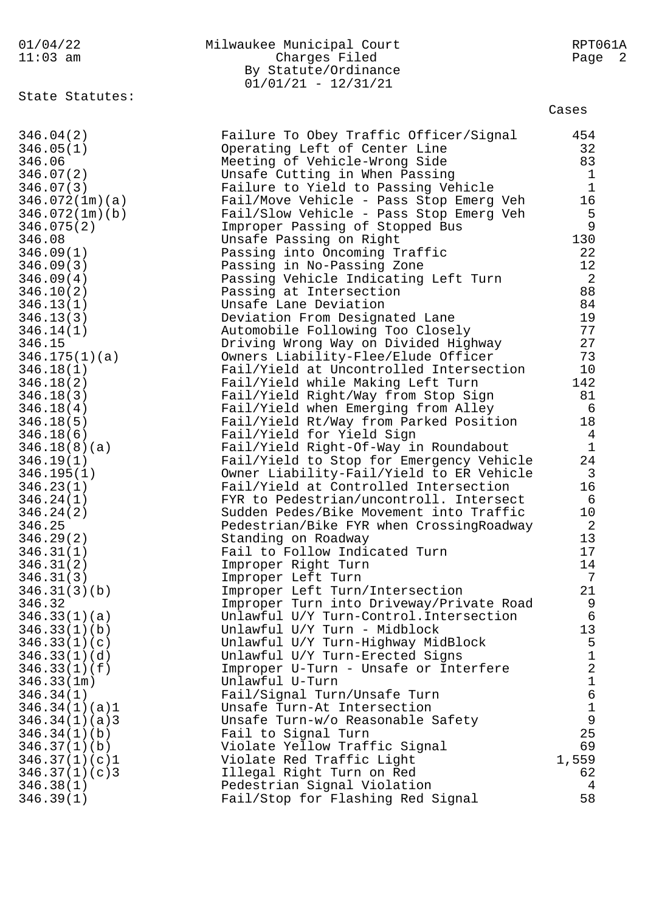| 01/04/22<br>$11:03$ am | Milwaukee Municipal Court<br>Charges Filed<br>By Statute/Ordinance<br>$01/01/21 - 12/31/21$ | RPT061A<br>Page 2       |
|------------------------|---------------------------------------------------------------------------------------------|-------------------------|
| State Statutes:        |                                                                                             | Cases                   |
| 346.04(2)              | Failure To Obey Traffic Officer/Signal                                                      | 454                     |
| 346.05(1)              | Operating Left of Center Line                                                               | 32                      |
| 346.06                 | Meeting of Vehicle-Wrong Side                                                               | 83                      |
| 346.07(2)              | Unsafe Cutting in When Passing                                                              | $\mathbf{1}$            |
| 346.07(3)              | Failure to Yield to Passing Vehicle                                                         | $\mathbf{1}$            |
| 346.072(1m)(a)         | Fail/Move Vehicle - Pass Stop Emerg Veh                                                     | 16                      |
| 346.072(1m)(b)         | Fail/Slow Vehicle - Pass Stop Emerg Veh                                                     | 5                       |
| 346.075(2)             | Improper Passing of Stopped Bus                                                             | $\overline{9}$          |
| 346.08                 | Unsafe Passing on Right                                                                     | 130                     |
| 346.09(1)              | Passing into Oncoming Traffic                                                               | 22                      |
| 346.09(3)              | Passing in No-Passing Zone                                                                  | 12                      |
| 346.09(4)              | Passing Vehicle Indicating Left Turn                                                        | 2                       |
| 346.10(2)              | Passing at Intersection                                                                     | 88                      |
| 346.13(1)              | Unsafe Lane Deviation                                                                       | 84                      |
| 346.13(3)              | Deviation From Designated Lane                                                              | 19                      |
| 346.14(1)              | Automobile Following Too Closely                                                            | 77                      |
| 346.15                 | Driving Wrong Way on Divided Highway                                                        | 27                      |
| 346.175(1)(a)          | Owners Liability-Flee/Elude Officer                                                         | 73                      |
| 346.18(1)              | Fail/Yield at Uncontrolled Intersection                                                     | 10                      |
| 346.18(2)              | Fail/Yield while Making Left Turn                                                           | 142                     |
| 346.18(3)              | Fail/Yield Right/Way from Stop Sign                                                         | 81                      |
| 346.18(4)              | Fail/Yield when Emerging from Alley                                                         | 6                       |
| 346.18(5)              | Fail/Yield Rt/Way from Parked Position                                                      | 18                      |
| 346.18(6)              | Fail/Yield for Yield Sign                                                                   | 4                       |
| 346.18(8)(a)           | Fail/Yield Right-Of-Way in Roundabout                                                       | $\mathbf 1$             |
| 346.19(1)              | Fail/Yield to Stop for Emergency Vehicle                                                    | 24                      |
| 346.195(1)             | Owner Liability-Fail/Yield to ER Vehicle                                                    | 3                       |
| 346.23(1)              | Fail/Yield at Controlled Intersection                                                       | 16                      |
| 346.24(1)              | FYR to Pedestrian/uncontroll. Intersect                                                     | 6                       |
| 346.24(2)              | Sudden Pedes/Bike Movement into Traffic                                                     | 10                      |
| 346.25                 | Pedestrian/Bike FYR when CrossingRoadway                                                    | 2                       |
| 346.29(2)              | Standing on Roadway                                                                         | 13                      |
| 346.31(1)              | Fail to Follow Indicated Turn                                                               | 17                      |
| 346.31(2)              | Improper Right Turn                                                                         | 14                      |
| 346.31(3)              | Improper Left Turn                                                                          | 7                       |
| 346.31(3)(b)           | Improper Left Turn/Intersection                                                             | 21                      |
| 346.32                 | Improper Turn into Driveway/Private Road                                                    | 9                       |
| 346.33(1)(a)           | Unlawful U/Y Turn-Control. Intersection                                                     | $\epsilon$              |
| 346.33(1)(b)           | Unlawful U/Y Turn - Midblock                                                                | 13                      |
| 346.33(1)(c)           | Unlawful U/Y Turn-Highway MidBlock                                                          | 5                       |
| 346.33(1)(d)           | Unlawful U/Y Turn-Erected Signs                                                             | $\mathbf 1$             |
| 346.33(1)(f)           | Improper U-Turn - Unsafe or Interfere                                                       | $\overline{\mathbf{c}}$ |
| 346.33(1m)             | Unlawful U-Turn                                                                             | $\mathbf 1$             |
| 346.34(1)              | Fail/Signal Turn/Unsafe Turn                                                                | 6                       |
| 346.34(1)(a)1          | Unsafe Turn-At Intersection                                                                 | $\mathbf 1$             |
| 346.34(1)(a)3          | Unsafe Turn-w/o Reasonable Safety                                                           | 9                       |
| 346.34(1)(b)           | Fail to Signal Turn                                                                         | 25                      |
| 346.37(1)(b)           | Violate Yellow Traffic Signal                                                               | 69                      |
| 346.37(1)(c)1          | Violate Red Traffic Light                                                                   | 1,559                   |
| 346.37(1)(c)3          | Illegal Right Turn on Red                                                                   | 62                      |
| 346.38(1)              | Pedestrian Signal Violation                                                                 | 4                       |
| 346.39(1)              | Fail/Stop for Flashing Red Signal                                                           | 58                      |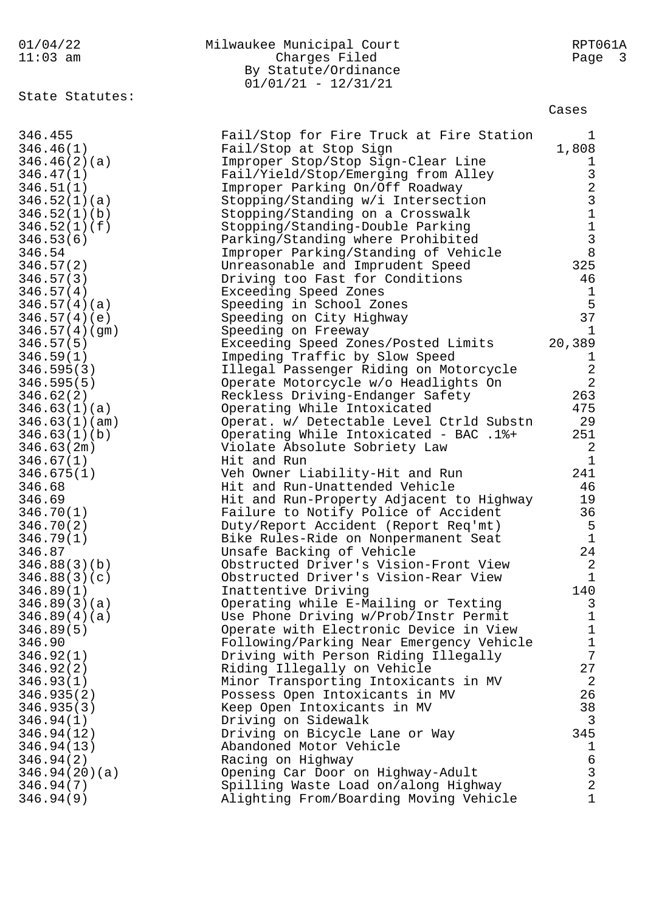| 01/04/22<br>$11:03$ am                                      | Milwaukee Municipal Court<br>Charges Filed<br>By Statute/Ordinance<br>$01/01/21 - 12/31/21$                                                               | RPT061A<br>Page<br>$\overline{\mathbf{3}}$ |
|-------------------------------------------------------------|-----------------------------------------------------------------------------------------------------------------------------------------------------------|--------------------------------------------|
| State Statutes:                                             |                                                                                                                                                           | Cases                                      |
| 346.455<br>346.46(1)<br>346.46(2)(a)<br>346.47(1)           | Fail/Stop for Fire Truck at Fire Station<br>Fail/Stop at Stop Sign<br>Improper Stop/Stop Sign-Clear Line<br>Fail/Yield/Stop/Emerging from Alley           | ı<br>1,808                                 |
| 346.51(1)<br>346.52(1)(a)<br>346.52(1)(b)                   | Improper Parking On/Off Roadway<br>Stopping/Standing w/i Intersection<br>Stopping/Standing on a Crosswalk                                                 | 1 3 2 3 1 1 3 8                            |
| 346.52(1)(f)<br>346.53(6)<br>346.54<br>346.57(2)            | Stopping/Standing-Double Parking<br>Parking/Standing where Prohibited<br>Improper Parking/Standing of Vehicle<br>Unreasonable and Imprudent Speed         | 325                                        |
| 346.57(3)<br>346.57(4)<br>346.57(4)(a)                      | Driving too Fast for Conditions<br>Exceeding Speed Zones<br>Speeding in School Zones                                                                      | 46<br>1<br>5                               |
| 346.57(4)(e)<br>346.57(4)(gm)<br>346.57(5)<br>346.59(1)     | Speeding on City Highway<br>Speeding on Freeway<br>Exceeding Speed Zones/Posted Limits<br>Impeding Traffic by Slow Speed                                  | 37<br>1<br>20,389<br>ı                     |
| 346.595(3)<br>346.595(5)<br>346.62(2)                       | Illegal Passenger Riding on Motorcycle<br>Operate Motorcycle w/o Headlights On<br>Reckless Driving-Endanger Safety                                        | $\overline{a}$<br>$\overline{a}$<br>263    |
| 346.63(1)(a)<br>346.63(1)(am)<br>346.63(1)(b)<br>346.63(2m) | Operating While Intoxicated<br>Operat. w/ Detectable Level Ctrld Substn<br>Operating While Intoxicated - BAC .1%+<br>Violate Absolute Sobriety Law        | 475<br>29<br>251<br>2                      |
| 346.67(1)<br>346.675(1)<br>346.68                           | Hit and Run<br>Veh Owner Liability-Hit and Run<br>Hit and Run-Unattended Vehicle                                                                          | 1<br>241<br>46                             |
| 346.69<br>346.70(1)<br>346.70(2)<br>346.79(1)               | Hit and Run-Property Adjacent to Highway<br>Failure to Notify Police of Accident<br>Duty/Report Accident (Report Req'mt)                                  | 19<br>36<br>ٹ<br>1                         |
| 346.87<br>346.88(3)(b)<br>346.88(3)(c)                      | Bike Rules-Ride on Nonpermanent Seat<br>Unsafe Backing of Vehicle<br>Obstructed Driver's Vision-Front View<br>Obstructed Driver's Vision-Rear View        | 24<br>2<br>$\mathbf{1}$                    |
| 346.89(1)<br>346.89(3)(a)<br>346.89(4)(a)                   | Inattentive Driving<br>Operating while E-Mailing or Texting<br>Use Phone Driving w/Prob/Instr Permit                                                      | 140<br>3<br>1<br>$\mathbf 1$               |
| 346.89(5)<br>346.90<br>346.92(1)<br>346.92(2)               | Operate with Electronic Device in View<br>Following/Parking Near Emergency Vehicle<br>Driving with Person Riding Illegally<br>Riding Illegally on Vehicle | $\mathbf 1$<br>7<br>27                     |
| 346.93(1)<br>346.935(2)<br>346.935(3)<br>346.94(1)          | Minor Transporting Intoxicants in MV<br>Possess Open Intoxicants in MV<br>Keep Open Intoxicants in MV<br>Driving on Sidewalk                              | 2<br>26<br>38<br>3                         |
| 346.94(12)<br>346.94(13)<br>346.94(2)                       | Driving on Bicycle Lane or Way<br>Abandoned Motor Vehicle<br>Racing on Highway                                                                            | 345<br>1<br>$\epsilon$                     |
| 346.94(20)(a)<br>346.94(7)<br>346.94(9)                     | Opening Car Door on Highway-Adult<br>Spilling Waste Load on/along Highway<br>Alighting From/Boarding Moving Vehicle                                       | 3<br>$\overline{2}$<br>$\mathbf{1}$        |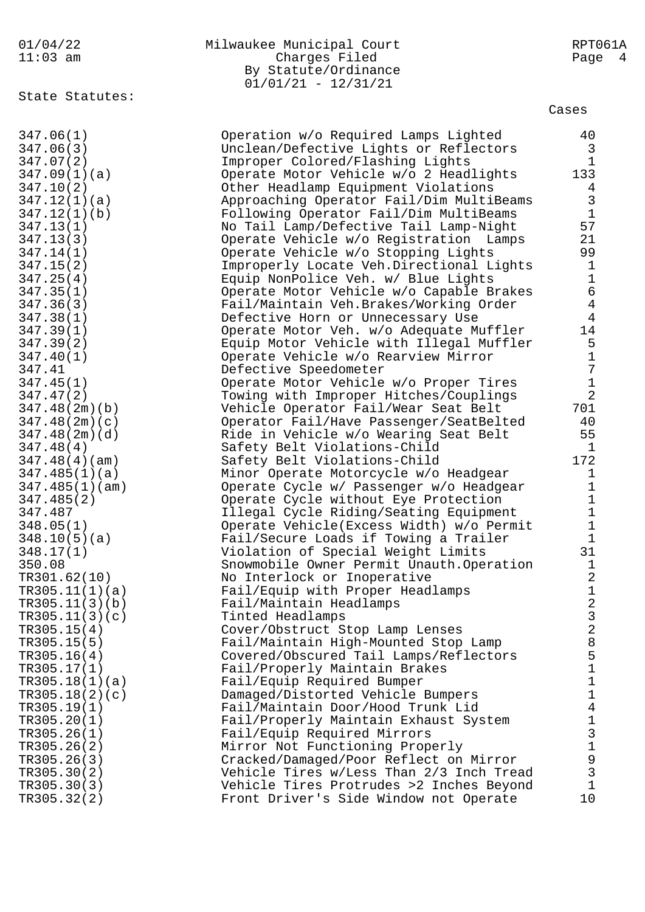01/04/22 Milwaukee Municipal Court RPT061A 11:03 am Charges Filed Page 4 By Statute/Ordinance 01/01/21 - 12/31/21 State Statutes: Cases 347.06(1) Operation w/o Required Lamps Lighted 40 347.06(3) Unclean/Defective Lights or Reflectors 3 347.07(2) Improper Colored/Flashing Lights 1 347.09(1)(a) Operate Motor Vehicle w/o 2 Headlights 133 347.10(2) Other Headlamp Equipment Violations 4 347.12(1)(a) Approaching Operator Fail/Dim MultiBeams 3 347.12(1)(b) Following Operator Fail/Dim MultiBeams 1 347.13(1) No Tail Lamp/Defective Tail Lamp-Night 57 347.13(3) Operate Vehicle w/o Registration Lamps 21 347.14(1) Operate Vehicle w/o Stopping Lights 99 347.15(2) Improperly Locate Veh.Directional Lights 1 347.25(4) Equip NonPolice Veh. w/ Blue Lights 1 347.35(1) Operate Motor Vehicle w/o Capable Brakes 6 347.36(3) Fail/Maintain Veh.Brakes/Working Order 4 347.38(1) Defective Horn or Unnecessary Use 4 347.39(1) Operate Motor Veh. w/o Adequate Muffler 14 347.39(2) Equip Motor Vehicle with Illegal Muffler 5 347.40(1) Operate Vehicle w/o Rearview Mirror 1 347.41 Defective Speedometer 7 347.45(1) Operate Motor Vehicle w/o Proper Tires 1 347.47(2) Towing with Improper Hitches/Couplings 2 347.48(2m)(b) Vehicle Operator Fail/Wear Seat Belt 701 347.48(2m)(c) Operator Fail/Have Passenger/SeatBelted 40 347.48(2m)(d) Ride in Vehicle w/o Wearing Seat Belt 55 347.48(4) Safety Belt Violations-Child 1 347.48(4)(am) Safety Belt Violations-Child 172 347.485(1)(a) Minor Operate Motorcycle w/o Headgear 1 347.485(1)(am) Operate Cycle w/ Passenger w/o Headgear 1 347.485(2) Operate Cycle without Eye Protection 1 347.487 Illegal Cycle Riding/Seating Equipment 1 348.05(1) Operate Vehicle(Excess Width) w/o Permit 1 348.10(5)(a) Fail/Secure Loads if Towing a Trailer 1 348.17(1) Violation of Special Weight Limits 31 350.08 Snowmobile Owner Permit Unauth.Operation 1 TR301.62(10) No Interlock or Inoperative 2 TR305.11(1)(a) Fail/Equip with Proper Headlamps 1 TR305.11(3)(b) Fail/Maintain Headlamps 2 TR305.11(3)(c) Tinted Headlamps 3 TR305.15(4) Cover/Obstruct Stop Lamp Lenses 2 TR305.15(5) Fail/Maintain High-Mounted Stop Lamp 8 TR305.16(4) Covered/Obscured Tail Lamps/Reflectors 5 TR305.17(1) Fail/Properly Maintain Brakes 1 TR305.18(1)(a) Fail/Equip Required Bumper 1 TR305.18(2)(c) Damaged/Distorted Vehicle Bumpers 1 TR305.19(1) Fail/Maintain Door/Hood Trunk Lid 4 TR305.20(1) Fail/Properly Maintain Exhaust System 1 TR305.26(1) Fail/Equip Required Mirrors 3 TR305.26(2) Mirror Not Functioning Properly 1 TR305.26(3) Cracked/Damaged/Poor Reflect on Mirror 9 TR305.30(2) Vehicle Tires w/Less Than 2/3 Inch Tread 3 TR305.30(3) Vehicle Tires Protrudes >2 Inches Beyond 1 TR305.32(2) Front Driver's Side Window not Operate 10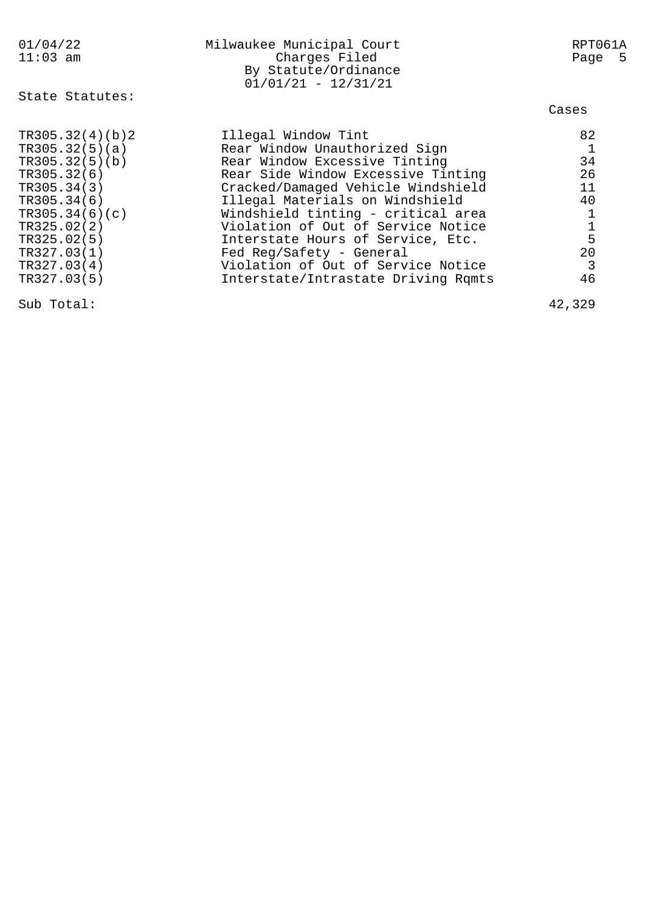| 01/04/22<br>$11:03$ am                                                                                                                                                                        | Milwaukee Municipal Court<br>Charges Filed<br>By Statute/Ordinance<br>$01/01/21 - 12/31/21$                                                                                                                                                                                                                                                                                                                                    | RPT061A<br>Page 5                                                                         |
|-----------------------------------------------------------------------------------------------------------------------------------------------------------------------------------------------|--------------------------------------------------------------------------------------------------------------------------------------------------------------------------------------------------------------------------------------------------------------------------------------------------------------------------------------------------------------------------------------------------------------------------------|-------------------------------------------------------------------------------------------|
| State Statutes:                                                                                                                                                                               |                                                                                                                                                                                                                                                                                                                                                                                                                                | Cases                                                                                     |
| TR305.32(4)(b)2<br>TR305.32(5)(a)<br>TR305.32(5)(b)<br>TR305.32(6)<br>TR305.34(3)<br>TR305.34(6)<br>TR305.34(6)(c)<br>TR325.02(2)<br>TR325.02(5)<br>TR327.03(1)<br>TR327.03(4)<br>TR327.03(5) | Illegal Window Tint<br>Rear Window Unauthorized Sign<br>Rear Window Excessive Tinting<br>Rear Side Window Excessive Tinting<br>Cracked/Damaged Vehicle Windshield<br>Illegal Materials on Windshield<br>Windshield tinting - critical area<br>Violation of Out of Service Notice<br>Interstate Hours of Service, Etc.<br>Fed Reg/Safety - General<br>Violation of Out of Service Notice<br>Interstate/Intrastate Driving Rqmts | 82<br>$\mathbf{1}$<br>34<br>26<br>11<br>40<br>$\frac{1}{5}$<br>20<br>$\overline{3}$<br>46 |
| Sub Total:                                                                                                                                                                                    |                                                                                                                                                                                                                                                                                                                                                                                                                                | 42,329                                                                                    |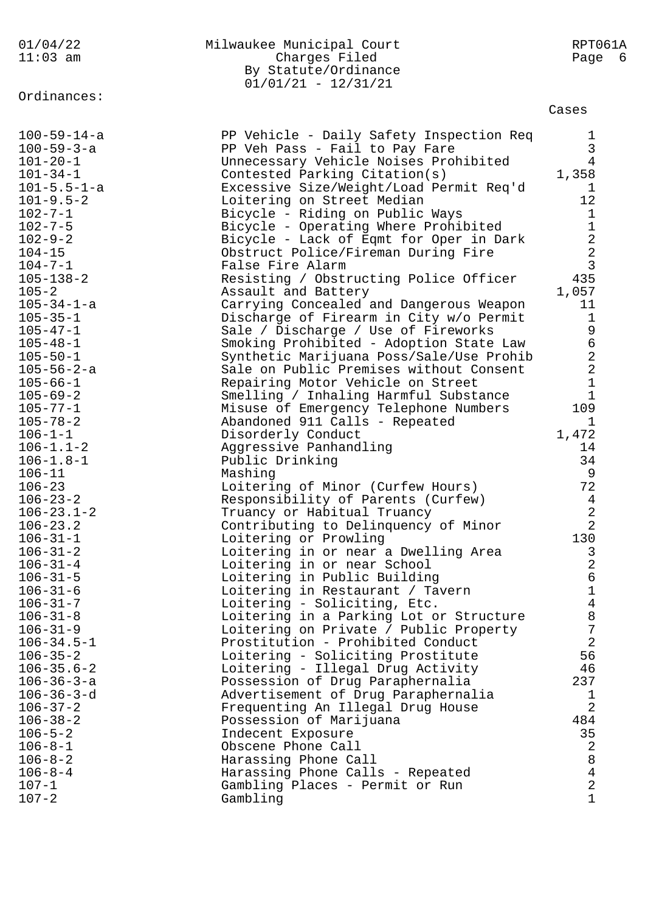| 01/04/22                                  | Milwaukee Municipal Court                                               | RPT061A                       |
|-------------------------------------------|-------------------------------------------------------------------------|-------------------------------|
| $11:03$ am                                | Charges Filed                                                           | Page 6                        |
|                                           | By Statute/Ordinance                                                    |                               |
|                                           | $01/01/21 - 12/31/21$                                                   |                               |
| Ordinances:                               |                                                                         |                               |
|                                           |                                                                         | Cases                         |
|                                           |                                                                         |                               |
| $100 - 59 - 14 - a$<br>$100 - 59 - 3 - a$ | PP Vehicle - Daily Safety Inspection Req                                | $\mathbf 1$                   |
| $101 - 20 - 1$                            | PP Veh Pass - Fail to Pay Fare<br>Unnecessary Vehicle Noises Prohibited | $\mathsf 3$<br>$\overline{4}$ |
| $101 - 34 - 1$                            | Contested Parking Citation(s)                                           | 1,358                         |
| $101 - 5.5 - 1 - a$                       | Excessive Size/Weight/Load Permit Req'd                                 | 1                             |
| $101 - 9.5 - 2$                           | Loitering on Street Median                                              | 12                            |
| $102 - 7 - 1$                             | Bicycle - Riding on Public Ways                                         | $\mathbf{1}$                  |
| $102 - 7 - 5$                             | Bicycle - Operating Where Prohibited                                    | $1\,$                         |
| $102 - 9 - 2$                             | Bicycle - Lack of Eqmt for Oper in Dark                                 | $\sqrt{2}$                    |
| $104 - 15$                                | Obstruct Police/Fireman During Fire                                     | $\sqrt{2}$                    |
| $104 - 7 - 1$                             | False Fire Alarm                                                        | $\mathbf{3}$                  |
| $105 - 138 - 2$                           | Resisting / Obstructing Police Officer                                  | 435                           |
| $105 - 2$                                 | Assault and Battery                                                     | 1,057                         |
| $105 - 34 - 1 - a$                        | Carrying Concealed and Dangerous Weapon                                 | 11                            |
| $105 - 35 - 1$                            | Discharge of Firearm in City w/o Permit                                 | $\mathbf{1}$                  |
| $105 - 47 - 1$                            | Sale / Discharge / Use of Fireworks                                     | 9                             |
| $105 - 48 - 1$                            | Smoking Prohibited - Adoption State Law                                 | $\epsilon$                    |
| $105 - 50 - 1$                            | Synthetic Marijuana Poss/Sale/Use Prohib                                | $\sqrt{2}$                    |
| $105 - 56 - 2 - a$                        | Sale on Public Premises without Consent                                 | $\sqrt{2}$                    |
| $105 - 66 - 1$                            | Repairing Motor Vehicle on Street                                       | $\mathbf 1$                   |
| $105 - 69 - 2$                            | Smelling / Inhaling Harmful Substance                                   | $\mathbf{1}$                  |
| $105 - 77 - 1$                            | Misuse of Emergency Telephone Numbers                                   | 109                           |
| $105 - 78 - 2$                            | Abandoned 911 Calls - Repeated                                          | $\mathbf 1$                   |
| $106 - 1 - 1$                             | Disorderly Conduct                                                      | 1,472                         |
| $106 - 1.1 - 2$                           | Aggressive Panhandling                                                  | 14                            |
| $106 - 1.8 - 1$                           | Public Drinking                                                         | 34                            |
| $106 - 11$                                | Mashing                                                                 | 9                             |
| $106 - 23$                                | Loitering of Minor (Curfew Hours)                                       | 72                            |
| $106 - 23 - 2$                            | Responsibility of Parents (Curfew)                                      | 4                             |
| $106 - 23.1 - 2$                          | Truancy or Habitual Truancy                                             | $\sqrt{2}$                    |
| $106 - 23.2$                              | Contributing to Delinquency of Minor                                    | $\overline{2}$                |
| $106 - 31 - 1$                            | Loitering or Prowling                                                   | 130                           |
| $106 - 31 - 2$                            | Loitering in or near a Dwelling Area                                    | 3                             |
| $106 - 31 - 4$                            | Loitering in or near School                                             | $\sqrt{2}$                    |
| $106 - 31 - 5$                            | Loitering in Public Building                                            | $\epsilon$<br>$\mathbf 1$     |
| $106 - 31 - 6$<br>$106 - 31 - 7$          | Loitering in Restaurant / Tavern<br>Loitering - Soliciting, Etc.        | $\overline{4}$                |
| $106 - 31 - 8$                            | Loitering in a Parking Lot or Structure                                 | $\,8\,$                       |
| $106 - 31 - 9$                            | Loitering on Private / Public Property                                  | $\sqrt{ }$                    |
| $106 - 34.5 - 1$                          | Prostitution - Prohibited Conduct                                       | $\overline{2}$                |
| $106 - 35 - 2$                            | Loitering - Soliciting Prostitute                                       | 56                            |
| $106 - 35.6 - 2$                          | Loitering - Illegal Drug Activity                                       | 46                            |
| $106 - 36 - 3 - a$                        | Possession of Drug Paraphernalia                                        | 237                           |
| $106 - 36 - 3 - d$                        | Advertisement of Drug Paraphernalia                                     | $\mathbf 1$                   |
| $106 - 37 - 2$                            | Frequenting An Illegal Drug House                                       | $\overline{2}$                |
| $106 - 38 - 2$                            | Possession of Marijuana                                                 | 484                           |
| $106 - 5 - 2$                             | Indecent Exposure                                                       | 35                            |
| $106 - 8 - 1$                             | Obscene Phone Call                                                      | $\sqrt{2}$                    |
| $106 - 8 - 2$                             | Harassing Phone Call                                                    | $\,8\,$                       |
| $106 - 8 - 4$                             | Harassing Phone Calls - Repeated                                        | $\overline{4}$                |
| $107 - 1$                                 | Gambling Places - Permit or Run                                         | $\overline{a}$                |
| $107 - 2$                                 | Gambling                                                                | $\mathbf 1$                   |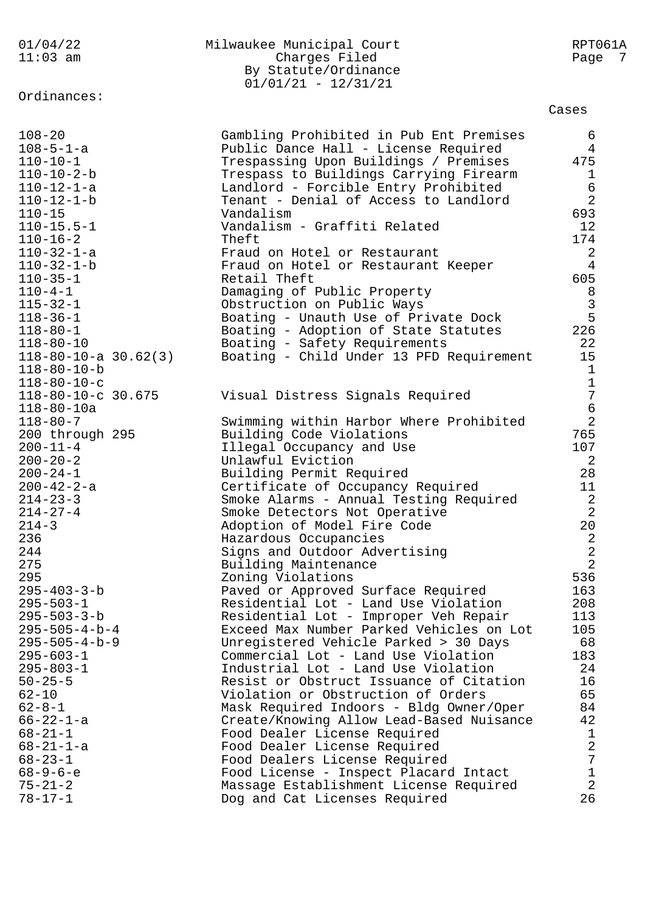| 01/04/22                         | Milwaukee Municipal Court                                                     | RPT061A                 |
|----------------------------------|-------------------------------------------------------------------------------|-------------------------|
| $11:03$ am                       | Charges Filed                                                                 | Page 7                  |
|                                  | By Statute/Ordinance                                                          |                         |
|                                  | $01/01/21 - 12/31/21$                                                         |                         |
| Ordinances:                      |                                                                               | Cases                   |
|                                  |                                                                               |                         |
| $108 - 20$<br>$108 - 5 - 1 - a$  | Gambling Prohibited in Pub Ent Premises                                       | 6                       |
| $110 - 10 - 1$                   | Public Dance Hall - License Required<br>Trespassing Upon Buildings / Premises | 4<br>475                |
| $110 - 10 - 2 - b$               | Trespass to Buildings Carrying Firearm                                        | 1                       |
| $110 - 12 - 1 - a$               | Landlord - Forcible Entry Prohibited                                          | $\epsilon$              |
| $110 - 12 - 1 - b$               | Tenant - Denial of Access to Landlord                                         | $\overline{2}$          |
| $110 - 15$                       | Vandalism                                                                     | 693                     |
| $110 - 15.5 - 1$                 | Vandalism - Graffiti Related                                                  | 12                      |
| $110 - 16 - 2$                   | Theft                                                                         | 174                     |
| $110 - 32 - 1 - a$               | Fraud on Hotel or Restaurant                                                  | 2                       |
| $110 - 32 - 1 - b$               | Fraud on Hotel or Restaurant Keeper                                           | $\overline{4}$          |
| $110 - 35 - 1$                   | Retail Theft                                                                  | 605                     |
| $110 - 4 - 1$                    | Damaging of Public Property                                                   | 8                       |
| $115 - 32 - 1$                   | Obstruction on Public Ways                                                    | $\mathbf{3}$            |
| $118 - 36 - 1$                   | Boating - Unauth Use of Private Dock                                          | 5                       |
| $118 - 80 - 1$                   | Boating - Adoption of State Statutes                                          | 226                     |
| $118 - 80 - 10$                  | Boating - Safety Requirements                                                 | 22                      |
| $118 - 80 - 10 - a$ 30.62(3)     | Boating - Child Under 13 PFD Requirement                                      | 15                      |
| $118 - 80 - 10 - b$              |                                                                               | $\mathbf{1}$            |
| $118 - 80 - 10 - c$              |                                                                               | $\mathbf 1$             |
| 118-80-10-c 30.675               | Visual Distress Signals Required                                              | $\overline{7}$          |
| $118 - 80 - 10a$                 |                                                                               | $\epsilon$              |
| $118 - 80 - 7$                   | Swimming within Harbor Where Prohibited                                       | $\overline{a}$          |
| 200 through 295                  | Building Code Violations                                                      | 765                     |
| $200 - 11 - 4$                   | Illegal Occupancy and Use                                                     | 107                     |
| $200 - 20 - 2$<br>$200 - 24 - 1$ | Unlawful Eviction                                                             | 2                       |
| $200 - 42 - 2 - a$               | Building Permit Required<br>Certificate of Occupancy Required                 | 28<br>11                |
| $214 - 23 - 3$                   | Smoke Alarms - Annual Testing Required                                        | $\overline{\mathbf{c}}$ |
| $214 - 27 - 4$                   | Smoke Detectors Not Operative                                                 | $\overline{2}$          |
| $214 - 3$                        | Adoption of Model Fire Code                                                   | $2\,0$                  |
| 236                              | Hazardous Occupancies                                                         | $\sqrt{2}$              |
| 244                              | Signs and Outdoor Advertising                                                 | $\frac{2}{2}$           |
| 275                              | Building Maintenance                                                          |                         |
| 295                              | Zoning Violations                                                             | 536                     |
| $295 - 403 - 3 - b$              | Paved or Approved Surface Required                                            | 163                     |
| $295 - 503 - 1$                  | Residential Lot - Land Use Violation                                          | 208                     |
| $295 - 503 - 3 - b$              | Residential Lot - Improper Veh Repair                                         | 113                     |
| $295 - 505 - 4 - b - 4$          | Exceed Max Number Parked Vehicles on Lot                                      | 105                     |
| $295 - 505 - 4 - b - 9$          | Unregistered Vehicle Parked > 30 Days                                         | 68                      |
| $295 - 603 - 1$                  | Commercial Lot - Land Use Violation                                           | 183                     |
| $295 - 803 - 1$                  | Industrial Lot - Land Use Violation                                           | 24                      |
| $50 - 25 - 5$                    | Resist or Obstruct Issuance of Citation<br>Violation or Obstruction of Orders | 16<br>65                |
| $62 - 10$<br>$62 - 8 - 1$        | Mask Required Indoors - Bldg Owner/Oper                                       | 84                      |
| $66 - 22 - 1 - a$                | Create/Knowing Allow Lead-Based Nuisance                                      | 42                      |
| $68 - 21 - 1$                    | Food Dealer License Required                                                  | $\mathbf{1}$            |
| $68 - 21 - 1 - a$                | Food Dealer License Required                                                  | $\overline{a}$          |
| $68 - 23 - 1$                    | Food Dealers License Required                                                 | $\overline{7}$          |
| $68 - 9 - 6 - e$                 | Food License - Inspect Placard Intact                                         | $\mathbf 1$             |
| $75 - 21 - 2$                    | Massage Establishment License Required                                        | $\overline{2}$          |
| $78 - 17 - 1$                    | Dog and Cat Licenses Required                                                 | 26                      |
|                                  |                                                                               |                         |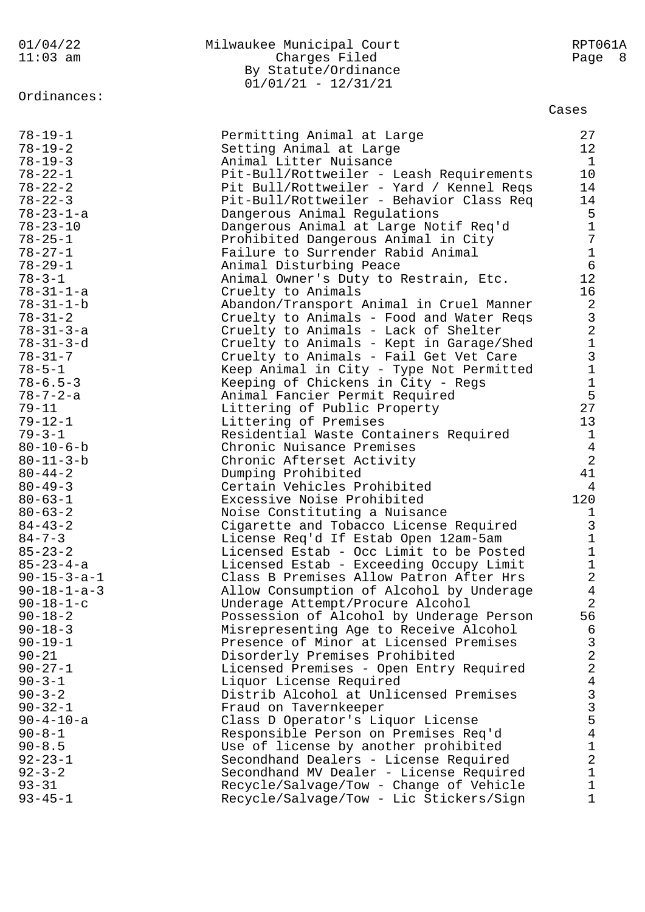Ordinances:

## 01/04/22 Milwaukee Municipal Court RPT061A 11:03 am Charges Filed Page 8 By Statute/Ordinance 01/01/21 - 12/31/21

## Cases

| $78 - 19 - 1$                                                                                                            | Permitting Animal at Large                                                                                                                                                                                                                                                            | 27                                                                                                             |
|--------------------------------------------------------------------------------------------------------------------------|---------------------------------------------------------------------------------------------------------------------------------------------------------------------------------------------------------------------------------------------------------------------------------------|----------------------------------------------------------------------------------------------------------------|
| $78 - 19 - 2$                                                                                                            | Setting Animal at Large                                                                                                                                                                                                                                                               | 12                                                                                                             |
| $78 - 19 - 3$                                                                                                            | Animal Litter Nuisance                                                                                                                                                                                                                                                                | $\mathbf{1}$                                                                                                   |
| $78 - 22 - 1$<br>$78 - 22 - 2$<br>$78 - 22 - 3$<br>$78 - 23 - 1 - a$<br>$78 - 23 - 10$<br>$78 - 25 - 1$<br>$78 - 27 - 1$ | Pit-Bull/Rottweiler - Leash Requirements<br>Pit Bull/Rottweiler - Yard / Kennel Reqs<br>Pit-Bull/Rottweiler - Behavior Class Req<br>Dangerous Animal Regulations<br>Dangerous Animal at Large Notif Req'd<br>Prohibited Dangerous Animal in City<br>Failure to Surrender Rabid Animal | 10 <sub>o</sub><br>14<br>14<br>$5\phantom{.0}$<br>$\mathbf 1$<br>$\boldsymbol{7}$<br>$\mathbf 1$<br>$\epsilon$ |
| $78 - 29 - 1$<br>$78 - 3 - 1$<br>$78 - 31 - 1 - a$                                                                       | Animal Disturbing Peace<br>Animal Owner's Duty to Restrain, Etc.<br>Cruelty to Animals                                                                                                                                                                                                | 12<br>16                                                                                                       |
| $78 - 31 - 1 - b$<br>$78 - 31 - 2$<br>$78 - 31 - 3 - a$<br>$78 - 31 - 3 - d$                                             | Abandon/Transport Animal in Cruel Manner<br>Cruelty to Animals - Food and Water Reqs<br>Cruelty to Animals - Lack of Shelter<br>Cruelty to Animals - Kept in Garage/Shed                                                                                                              | $2$ 3 2 1 3 1                                                                                                  |
| $78 - 31 - 7$<br>$78 - 5 - 1$<br>$78 - 6.5 - 3$                                                                          | Cruelty to Animals - Fail Get Vet Care<br>Keep Animal in City - Type Not Permitted<br>Keeping of Chickens in City - Regs                                                                                                                                                              | $\mathbf 1$                                                                                                    |
| $78 - 7 - 2 - a$                                                                                                         | Animal Fancier Permit Required                                                                                                                                                                                                                                                        | 5                                                                                                              |
| $79 - 11$                                                                                                                | Littering of Public Property                                                                                                                                                                                                                                                          | 27                                                                                                             |
| $79 - 12 - 1$                                                                                                            | Littering of Premises                                                                                                                                                                                                                                                                 | 13                                                                                                             |
| $79 - 3 - 1$                                                                                                             | Residential Waste Containers Required                                                                                                                                                                                                                                                 | $\mathbf{1}$                                                                                                   |
| $80 - 10 - 6 - b$                                                                                                        | Chronic Nuisance Premises                                                                                                                                                                                                                                                             | $\overline{4}$                                                                                                 |
| $80 - 11 - 3 - b$                                                                                                        | Chronic Afterset Activity                                                                                                                                                                                                                                                             | $\overline{a}$                                                                                                 |
| $80 - 44 - 2$                                                                                                            | Dumping Prohibited                                                                                                                                                                                                                                                                    | 41                                                                                                             |
| $80 - 49 - 3$                                                                                                            | Certain Vehicles Prohibited                                                                                                                                                                                                                                                           | 4                                                                                                              |
| $80 - 63 - 1$                                                                                                            | Excessive Noise Prohibited                                                                                                                                                                                                                                                            | 120                                                                                                            |
| $80 - 63 - 2$                                                                                                            | Noise Constituting a Nuisance                                                                                                                                                                                                                                                         | $\mathbf{1}$                                                                                                   |
| $84 - 43 - 2$                                                                                                            | Cigarette and Tobacco License Required                                                                                                                                                                                                                                                | $\mathsf{3}$                                                                                                   |
| $84 - 7 - 3$                                                                                                             | License Req'd If Estab Open 12am-5am                                                                                                                                                                                                                                                  | $\mathbf 1$                                                                                                    |
| $85 - 23 - 2$                                                                                                            | Licensed Estab - Occ Limit to be Posted                                                                                                                                                                                                                                               | $1\,$                                                                                                          |
| $85 - 23 - 4 - a$                                                                                                        | Licensed Estab - Exceeding Occupy Limit                                                                                                                                                                                                                                               | $\mathbf 1$                                                                                                    |
| $90 - 15 - 3 - a - 1$                                                                                                    | Class B Premises Allow Patron After Hrs                                                                                                                                                                                                                                               | $\overline{a}$                                                                                                 |
| $90 - 18 - 1 - a - 3$                                                                                                    | Allow Consumption of Alcohol by Underage                                                                                                                                                                                                                                              | $\overline{4}$                                                                                                 |
| $90 - 18 - 1 - c$                                                                                                        | Underage Attempt/Procure Alcohol                                                                                                                                                                                                                                                      | $\overline{2}$                                                                                                 |
| $90 - 18 - 2$                                                                                                            | Possession of Alcohol by Underage Person                                                                                                                                                                                                                                              | 56                                                                                                             |
| $90 - 18 - 3$                                                                                                            | Misrepresenting Age to Receive Alcohol                                                                                                                                                                                                                                                | 6                                                                                                              |
| $90 - 19 - 1$                                                                                                            | Presence of Minor at Licensed Premises                                                                                                                                                                                                                                                | $\mathsf{3}$                                                                                                   |
| $90 - 21$                                                                                                                | Disorderly Premises Prohibited                                                                                                                                                                                                                                                        | $\sqrt{2}$                                                                                                     |
| $90 - 27 - 1$                                                                                                            | Licensed Premises - Open Entry Required                                                                                                                                                                                                                                               | $\overline{a}$                                                                                                 |
| $90 - 3 - 1$                                                                                                             | Liquor License Required                                                                                                                                                                                                                                                               | $\overline{4}$                                                                                                 |
| $90 - 3 - 2$<br>$90 - 32 - 1$<br>$90 - 4 - 10 - a$                                                                       | Distrib Alcohol at Unlicensed Premises<br>Fraud on Tavernkeeper<br>Class D Operator's Liquor License                                                                                                                                                                                  | $\frac{3}{3}$<br>5                                                                                             |
| $90 - 8 - 1$                                                                                                             | Responsible Person on Premises Req'd                                                                                                                                                                                                                                                  | $\overline{4}$                                                                                                 |
| $90 - 8.5$                                                                                                               | Use of license by another prohibited                                                                                                                                                                                                                                                  | $\mathbf 1$                                                                                                    |
| $92 - 23 - 1$                                                                                                            | Secondhand Dealers - License Required                                                                                                                                                                                                                                                 | $\sqrt{2}$                                                                                                     |
| $92 - 3 - 2$                                                                                                             | Secondhand MV Dealer - License Required                                                                                                                                                                                                                                               | $\mathbf 1$                                                                                                    |
| $93 - 31$                                                                                                                | Recycle/Salvage/Tow - Change of Vehicle                                                                                                                                                                                                                                               | $1\,$                                                                                                          |
| $93 - 45 - 1$                                                                                                            | Recycle/Salvage/Tow - Lic Stickers/Sign                                                                                                                                                                                                                                               | $\mathbf{1}$                                                                                                   |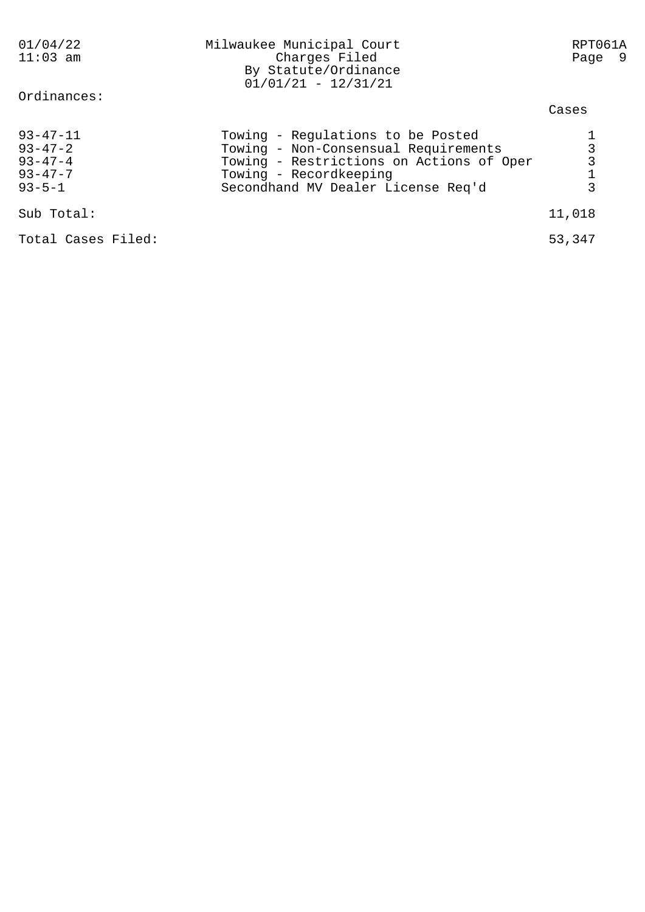| 01/04/22<br>$11:03$ am<br>Ordinances:                                             | Milwaukee Municipal Court<br>Charges Filed<br>By Statute/Ordinance<br>$01/01/21 - 12/31/21$                                                                                           | RPT061A<br>Page 9 |
|-----------------------------------------------------------------------------------|---------------------------------------------------------------------------------------------------------------------------------------------------------------------------------------|-------------------|
|                                                                                   |                                                                                                                                                                                       | Cases             |
| $93 - 47 - 11$<br>$93 - 47 - 2$<br>$93 - 47 - 4$<br>$93 - 47 - 7$<br>$93 - 5 - 1$ | Towing - Regulations to be Posted<br>Towing - Non-Consensual Requirements<br>Towing - Restrictions on Actions of Oper<br>Towing - Recordkeeping<br>Secondhand MV Dealer License Req'd | 3<br>3<br>3       |
| Sub Total:                                                                        |                                                                                                                                                                                       | 11,018            |
| Total Cases Filed:                                                                |                                                                                                                                                                                       | 53,347            |